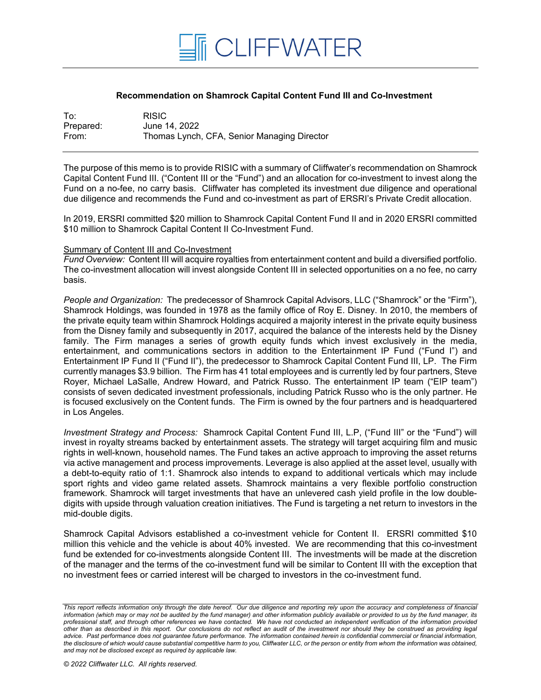

## **Recommendation on Shamrock Capital Content Fund III and Co-Investment**

| To:       | <b>RISIC</b>                                |
|-----------|---------------------------------------------|
| Prepared: | June 14, 2022                               |
| From:     | Thomas Lynch, CFA, Senior Managing Director |

The purpose of this memo is to provide RISIC with a summary of Cliffwater's recommendation on Shamrock Capital Content Fund III. ("Content III or the "Fund") and an allocation for co-investment to invest along the Fund on a no-fee, no carry basis. Cliffwater has completed its investment due diligence and operational due diligence and recommends the Fund and co-investment as part of ERSRI's Private Credit allocation.

In 2019, ERSRI committed \$20 million to Shamrock Capital Content Fund II and in 2020 ERSRI committed \$10 million to Shamrock Capital Content II Co-Investment Fund.

## Summary of Content III and Co-Investment

*Fund Overview:* Content III will acquire royalties from entertainment content and build a diversified portfolio. The co-investment allocation will invest alongside Content III in selected opportunities on a no fee, no carry basis.

*People and Organization:* The predecessor of Shamrock Capital Advisors, LLC ("Shamrock" or the "Firm"), Shamrock Holdings, was founded in 1978 as the family office of Roy E. Disney. In 2010, the members of the private equity team within Shamrock Holdings acquired a majority interest in the private equity business from the Disney family and subsequently in 2017, acquired the balance of the interests held by the Disney family. The Firm manages a series of growth equity funds which invest exclusively in the media, entertainment, and communications sectors in addition to the Entertainment IP Fund ("Fund I") and Entertainment IP Fund II ("Fund II"), the predecessor to Shamrock Capital Content Fund III, LP. The Firm currently manages \$3.9 billion. The Firm has 41 total employees and is currently led by four partners, Steve Royer, Michael LaSalle, Andrew Howard, and Patrick Russo. The entertainment IP team ("EIP team") consists of seven dedicated investment professionals, including Patrick Russo who is the only partner. He is focused exclusively on the Content funds. The Firm is owned by the four partners and is headquartered in Los Angeles.

*Investment Strategy and Process:* Shamrock Capital Content Fund III, L.P, ("Fund III" or the "Fund") will invest in royalty streams backed by entertainment assets. The strategy will target acquiring film and music rights in well-known, household names. The Fund takes an active approach to improving the asset returns via active management and process improvements. Leverage is also applied at the asset level, usually with a debt-to-equity ratio of 1:1. Shamrock also intends to expand to additional verticals which may include sport rights and video game related assets. Shamrock maintains a very flexible portfolio construction framework. Shamrock will target investments that have an unlevered cash yield profile in the low doubledigits with upside through valuation creation initiatives. The Fund is targeting a net return to investors in the mid-double digits.

Shamrock Capital Advisors established a co-investment vehicle for Content II. ERSRI committed \$10 million this vehicle and the vehicle is about 40% invested. We are recommending that this co-investment fund be extended for co-investments alongside Content III. The investments will be made at the discretion of the manager and the terms of the co-investment fund will be similar to Content III with the exception that no investment fees or carried interest will be charged to investors in the co-investment fund.

*This report reflects information only through the date hereof. Our due diligence and reporting rely upon the accuracy and completeness of financial information (which may or may not be audited by the fund manager) and other information publicly available or provided to us by the fund manager, its professional staff, and through other references we have contacted. We have not conducted an independent verification of the information provided other than as described in this report. Our conclusions do not reflect an audit of the investment nor should they be construed as providing legal advice. Past performance does not guarantee future performance. The information contained herein is confidential commercial or financial information, the disclosure of which would cause substantial competitive harm to you, Cliffwater LLC, or the person or entity from whom the information was obtained, and may not be disclosed except as required by applicable law.*